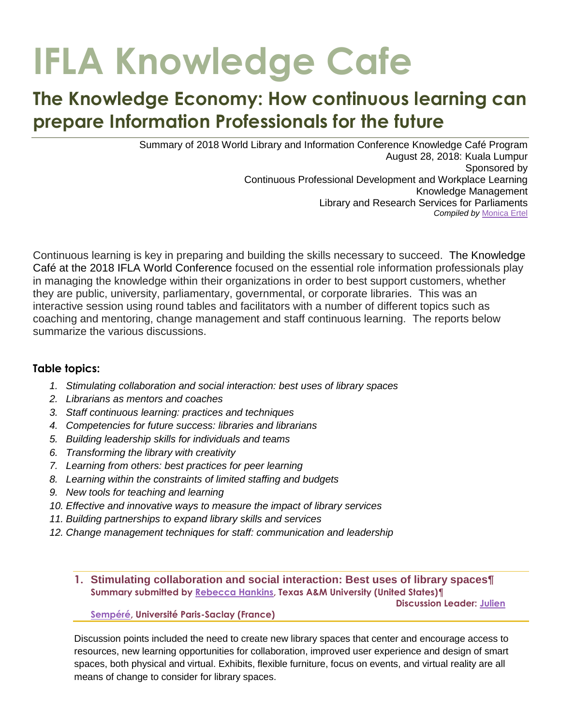# **IFLA Knowledge Cafe**

# **The Knowledge Economy: How continuous learning can prepare Information Professionals for the future**

Summary of 2018 World Library and Information Conference Knowledge Café Program August 28, 2018: Kuala Lumpur Sponsored by Continuous Professional Development and Workplace Learning Knowledge Management Library and Research Services for Parliaments *Compiled by* [Monica](mailto:monicaertel@gmail.com) Ertel

Continuous learning is key in preparing and building the skills necessary to succeed. The Knowledge Café at the 2018 IFLA World Conference focused on the essential role information professionals play in managing the knowledge within their organizations in order to best support customers, whether they are public, university, parliamentary, governmental, or corporate libraries. This was an interactive session using round tables and facilitators with a number of different topics such as coaching and mentoring, change management and staff continuous learning. The reports below summarize the various discussions.

# **Table topics:**

- *1. Stimulating collaboration and social interaction: best uses of library spaces*
- *2. Librarians as mentors and coaches*
- *3. Staff continuous learning: practices and techniques*
- *4. Competencies for future success: libraries and librarians*
- *5. Building leadership skills for individuals and teams*
- *6. Transforming the library with creativity*
- *7. Learning from others: best practices for peer learning*
- *8. Learning within the constraints of limited staffing and budgets*
- *9. New tools for teaching and learning*
- *10. Effective and innovative ways to measure the impact of library services*
- *11. Building partnerships to expand library skills and services*
- *12. Change management techniques for staff: communication and leadership*
	- **1. Stimulating collaboration and social interaction: Best uses of library spaces¶ Summary submitted by [Rebecca Hankins,](mailto:rhankins@library.tamu.edu) Texas A&M University (United States)¶**

 **Discussion Leader: [Julien](mailto:julien.sempere@universite-paris-saclay.fr)**

**[Sempéré,](mailto:julien.sempere@universite-paris-saclay.fr) Université Paris-Saclay (France)**

Discussion points included the need to create new library spaces that center and encourage access to resources, new learning opportunities for collaboration, improved user experience and design of smart spaces, both physical and virtual. Exhibits, flexible furniture, focus on events, and virtual reality are all means of change to consider for library spaces.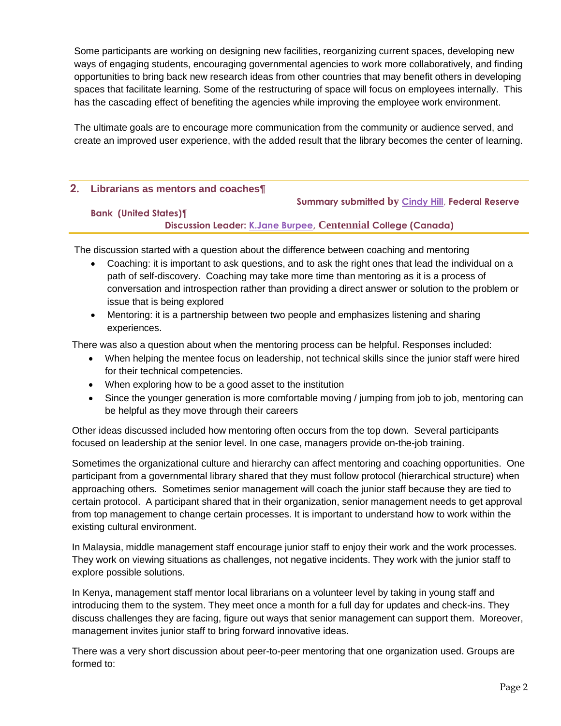Some participants are working on designing new facilities, reorganizing current spaces, developing new ways of engaging students, encouraging governmental agencies to work more collaboratively, and finding opportunities to bring back new research ideas from other countries that may benefit others in developing spaces that facilitate learning. Some of the restructuring of space will focus on employees internally. This has the cascading effect of benefiting the agencies while improving the employee work environment.

The ultimate goals are to encourage more communication from the community or audience served, and create an improved user experience, with the added result that the library becomes the center of learning.

#### **2. Librarians as mentors and coaches¶**

**Summary submitted by [Cindy Hill](mailto:cindyvhill@yahoo.com)**, **Federal Reserve** 

#### **Bank (United States)¶ Discussion Leader: [K.Jane Burpee,](mailto:janeburpee@gmail.com) Centennial College (Canada)**

The discussion started with a question about the difference between coaching and mentoring

- Coaching: it is important to ask questions, and to ask the right ones that lead the individual on a path of self-discovery. Coaching may take more time than mentoring as it is a process of conversation and introspection rather than providing a direct answer or solution to the problem or issue that is being explored
- Mentoring: it is a partnership between two people and emphasizes listening and sharing experiences.

There was also a question about when the mentoring process can be helpful. Responses included:

- When helping the mentee focus on leadership, not technical skills since the junior staff were hired for their technical competencies.
- When exploring how to be a good asset to the institution
- Since the younger generation is more comfortable moving / jumping from job to job, mentoring can be helpful as they move through their careers

Other ideas discussed included how mentoring often occurs from the top down. Several participants focused on leadership at the senior level. In one case, managers provide on-the-job training.

Sometimes the organizational culture and hierarchy can affect mentoring and coaching opportunities. One participant from a governmental library shared that they must follow protocol (hierarchical structure) when approaching others. Sometimes senior management will coach the junior staff because they are tied to certain protocol. A participant shared that in their organization, senior management needs to get approval from top management to change certain processes. It is important to understand how to work within the existing cultural environment.

In Malaysia, middle management staff encourage junior staff to enjoy their work and the work processes. They work on viewing situations as challenges, not negative incidents. They work with the junior staff to explore possible solutions.

In Kenya, management staff mentor local librarians on a volunteer level by taking in young staff and introducing them to the system. They meet once a month for a full day for updates and check-ins. They discuss challenges they are facing, figure out ways that senior management can support them. Moreover, management invites junior staff to bring forward innovative ideas.

There was a very short discussion about peer-to-peer mentoring that one organization used. Groups are formed to: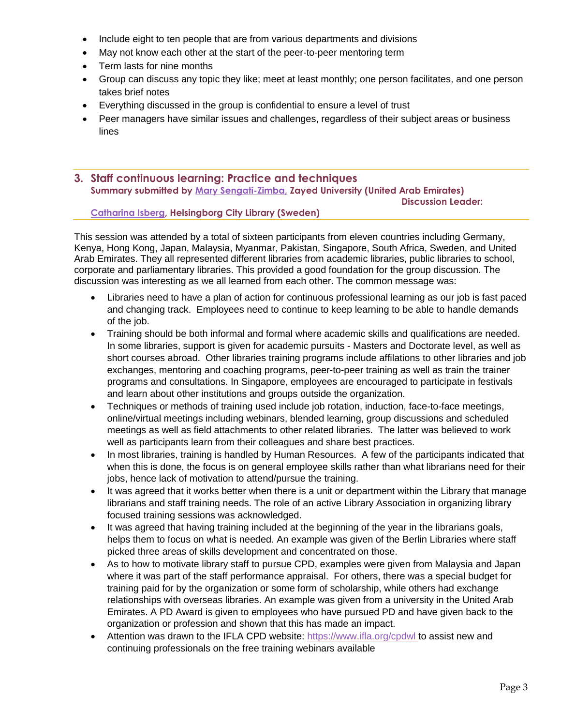- Include eight to ten people that are from various departments and divisions
- May not know each other at the start of the peer-to-peer mentoring term
- Term lasts for nine months
- Group can discuss any topic they like; meet at least monthly; one person facilitates, and one person takes brief notes
- Everything discussed in the group is confidential to ensure a level of trust
- Peer managers have similar issues and challenges, regardless of their subject areas or business lines
- **3. Staff continuous learning: Practice and techniques Summary submitted by [Mary Sengati-Zimba,](mailto:mary.sengati-zimba@zu.ac.ae) Zayed University (United Arab Emirates) Discussion Leader:**

#### **[Catharina Isberg,](mailto:catharina.isberg@helsingborg.se) Helsingborg City Library (Sweden)**

This session was attended by a total of sixteen participants from eleven countries including Germany, Kenya, Hong Kong, Japan, Malaysia, Myanmar, Pakistan, Singapore, South Africa, Sweden, and United Arab Emirates. They all represented different libraries from academic libraries, public libraries to school, corporate and parliamentary libraries. This provided a good foundation for the group discussion. The discussion was interesting as we all learned from each other. The common message was:

- Libraries need to have a plan of action for continuous professional learning as our job is fast paced and changing track. Employees need to continue to keep learning to be able to handle demands of the job.
- Training should be both informal and formal where academic skills and qualifications are needed. In some libraries, support is given for academic pursuits - Masters and Doctorate level, as well as short courses abroad. Other libraries training programs include affilations to other libraries and job exchanges, mentoring and coaching programs, peer-to-peer training as well as train the trainer programs and consultations. In Singapore, employees are encouraged to participate in festivals and learn about other institutions and groups outside the organization.
- Techniques or methods of training used include job rotation, induction, face-to-face meetings, online/virtual meetings including webinars, blended learning, group discussions and scheduled meetings as well as field attachments to other related libraries. The latter was believed to work well as participants learn from their colleagues and share best practices.
- In most libraries, training is handled by Human Resources. A few of the participants indicated that when this is done, the focus is on general employee skills rather than what librarians need for their jobs, hence lack of motivation to attend/pursue the training.
- It was agreed that it works better when there is a unit or department within the Library that manage librarians and staff training needs. The role of an active Library Association in organizing library focused training sessions was acknowledged.
- It was agreed that having training included at the beginning of the year in the librarians goals, helps them to focus on what is needed. An example was given of the Berlin Libraries where staff picked three areas of skills development and concentrated on those.
- As to how to motivate library staff to pursue CPD, examples were given from Malaysia and Japan where it was part of the staff performance appraisal. For others, there was a special budget for training paid for by the organization or some form of scholarship, while others had exchange relationships with overseas libraries. An example was given from a university in the United Arab Emirates. A PD Award is given to employees who have pursued PD and have given back to the organization or profession and shown that this has made an impact.
- Attention was drawn to the IFLA CPD website:<https://www.ifla.org/cpdwl> to assist new and continuing professionals on the free training webinars available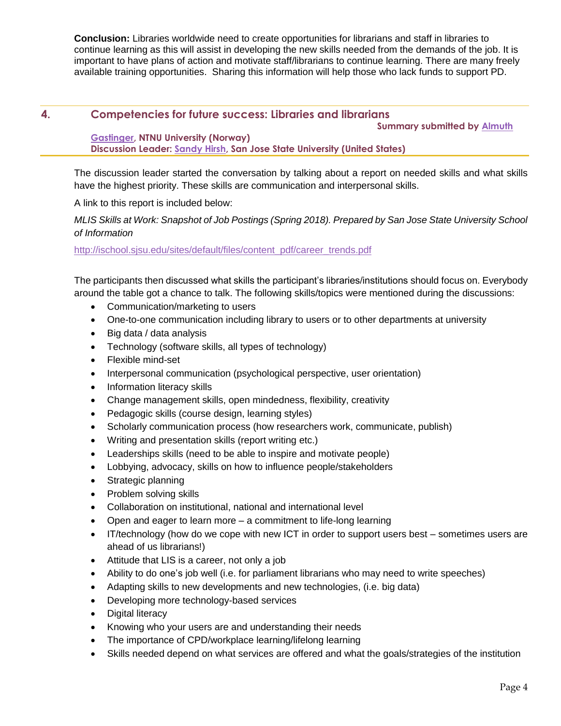**Conclusion:** Libraries worldwide need to create opportunities for librarians and staff in libraries to continue learning as this will assist in developing the new skills needed from the demands of the job. It is important to have plans of action and motivate staff/librarians to continue learning. There are many freely available training opportunities. Sharing this information will help those who lack funds to support PD.

# **4. Competencies for future success: Libraries and librarians**

 **Summary submitted by [Almuth](mailto:almuth.gastinger@ntnu.no)** 

## **[Gastinger,](mailto:almuth.gastinger@ntnu.no) NTNU University (Norway) Discussion Leader: [Sandy Hirsh,](mailto:Sandy.hirsh@sjsu.edu) San Jose State University (United States)**

The discussion leader started the conversation by talking about a report on needed skills and what skills have the highest priority. These skills are communication and interpersonal skills.

A link to this report is included below:

*MLIS Skills at Work: Snapshot of Job Postings (Spring 2018). Prepared by San Jose State University School of Information*

#### [http://ischool.sjsu.edu/sites/default/files/content\\_pdf/career\\_trends.pdf](http://ischool.sjsu.edu/sites/default/files/content_pdf/career_trends.pdf)

The participants then discussed what skills the participant's libraries/institutions should focus on. Everybody around the table got a chance to talk. The following skills/topics were mentioned during the discussions:

- Communication/marketing to users
- One-to-one communication including library to users or to other departments at university
- $\bullet$  Big data / data analysis
- Technology (software skills, all types of technology)
- Flexible mind-set
- Interpersonal communication (psychological perspective, user orientation)
- Information literacy skills
- Change management skills, open mindedness, flexibility, creativity
- Pedagogic skills (course design, learning styles)
- Scholarly communication process (how researchers work, communicate, publish)
- Writing and presentation skills (report writing etc.)
- Leaderships skills (need to be able to inspire and motivate people)
- Lobbying, advocacy, skills on how to influence people/stakeholders
- Strategic planning
- Problem solving skills
- Collaboration on institutional, national and international level
- Open and eager to learn more a commitment to life-long learning
- IT/technology (how do we cope with new ICT in order to support users best sometimes users are ahead of us librarians!)
- Attitude that LIS is a career, not only a job
- Ability to do one's job well (i.e. for parliament librarians who may need to write speeches)
- Adapting skills to new developments and new technologies, (i.e. big data)
- Developing more technology-based services
- Digital literacy
- Knowing who your users are and understanding their needs
- The importance of CPD/workplace learning/lifelong learning
- Skills needed depend on what services are offered and what the goals/strategies of the institution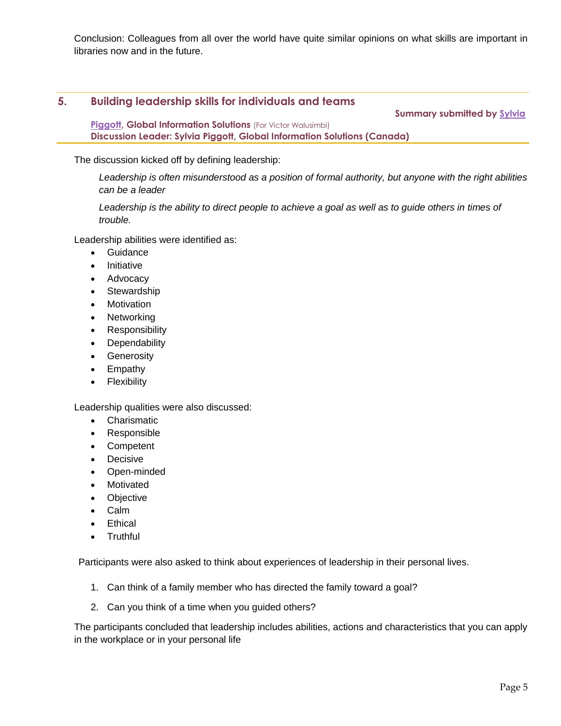Conclusion: Colleagues from all over the world have quite similar opinions on what skills are important in libraries now and in the future.

# **5. Building leadership skills for individuals and teams Summary submitted by [Sylvia](mailto:Seapiggott@gmail.com,)**

**[Piggott,](mailto:Seapiggott@gmail.com,) Global Information Solutions** (For Victor Walusimbi) **Discussion Leader: Sylvia Piggott, Global Information Solutions (Canada)**

The discussion kicked off by defining leadership:

*Leadership is often misunderstood as a position of formal authority, but anyone with the right abilities can be a leader*

Leadership is the ability to direct people to achieve a goal as well as to guide others in times of *trouble.*

Leadership abilities were identified as:

- **•** Guidance
- Initiative
- Advocacy
- Stewardship
- Motivation
- Networking
- Responsibility
- **Dependability**
- **Generosity**
- Empathy
- Flexibility

Leadership qualities were also discussed:

- Charismatic
- Responsible
- Competent
- Decisive
- Open-minded
- Motivated
- **Objective**
- Calm
- **Ethical**
- Truthful

Participants were also asked to think about experiences of leadership in their personal lives.

- 1. Can think of a family member who has directed the family toward a goal?
- 2. Can you think of a time when you guided others?

The participants concluded that leadership includes abilities, actions and characteristics that you can apply in the workplace or in your personal life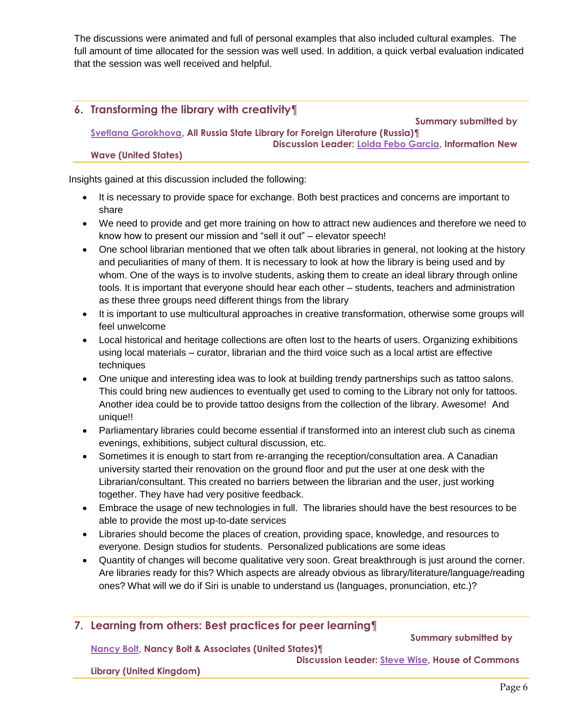The discussions were animated and full of personal examples that also included cultural examples. The full amount of time allocated for the session was well used. In addition, a quick verbal evaluation indicated that the session was well received and helpful.

# **6. Transforming the library with creativity¶**

 **Summary submitted by**

**[Svetlana Gorokhova,](mailto:svetlana.a.gorokhova@libfl.ru) All Russia State Library for Foreign Literature (Russia)¶ Discussion Leader: [Loida Febo Garcia,](mailto:loidagarciafebo@gmail.com) Information New** 

#### **Wave (United States)**

Insights gained at this discussion included the following:

- It is necessary to provide space for exchange. Both best practices and concerns are important to share
- We need to provide and get more training on how to attract new audiences and therefore we need to know how to present our mission and "sell it out" – elevator speech!
- One school librarian mentioned that we often talk about libraries in general, not looking at the history and peculiarities of many of them. It is necessary to look at how the library is being used and by whom. One of the ways is to involve students, asking them to create an ideal library through online tools. It is important that everyone should hear each other – students, teachers and administration as these three groups need different things from the library
- It is important to use multicultural approaches in creative transformation, otherwise some groups will feel unwelcome
- Local historical and heritage collections are often lost to the hearts of users. Organizing exhibitions using local materials – curator, librarian and the third voice such as a local artist are effective techniques
- One unique and interesting idea was to look at building trendy partnerships such as tattoo salons. This could bring new audiences to eventually get used to coming to the Library not only for tattoos. Another idea could be to provide tattoo designs from the collection of the library. Awesome! And unique!!
- Parliamentary libraries could become essential if transformed into an interest club such as cinema evenings, exhibitions, subject cultural discussion, etc.
- Sometimes it is enough to start from re-arranging the reception/consultation area. A Canadian university started their renovation on the ground floor and put the user at one desk with the Librarian/consultant. This created no barriers between the librarian and the user, just working together. They have had very positive feedback.
- Embrace the usage of new technologies in full. The libraries should have the best resources to be able to provide the most up-to-date services
- Libraries should become the places of creation, providing space, knowledge, and resources to everyone. Design studios for students. Personalized publications are some ideas
- Quantity of changes will become qualitative very soon. Great breakthrough is just around the corner. Are libraries ready for this? Which aspects are already obvious as library/literature/language/reading ones? What will we do if Siri is unable to understand us (languages, pronunciation, etc.)?

# **7. Learning from others: Best practices for peer learning¶**

 **Summary submitted by**

**[Nancy Bolt,](mailto:nancybolt@earthlink.net) Nancy Bolt & Associates (United States)¶**

**Library (United Kingdom)**

 **Discussion Leader: [Steve Wise,](mailto:wisesa@parliament.uk) House of Commons**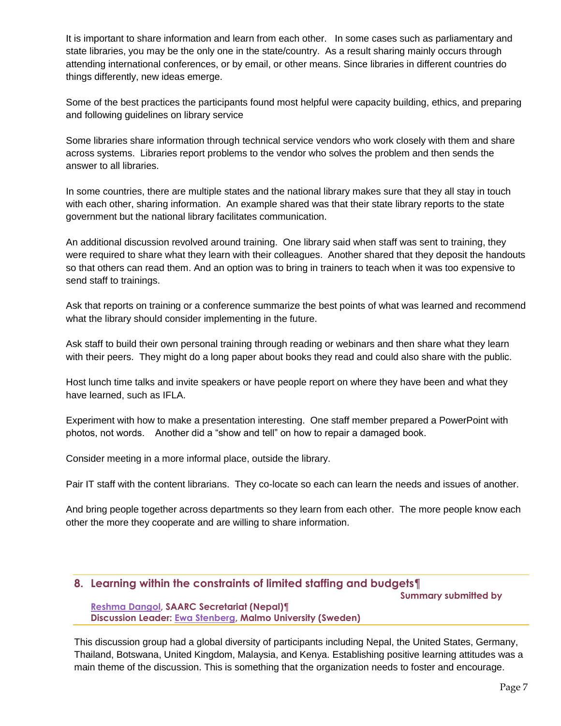It is important to share information and learn from each other. In some cases such as parliamentary and state libraries, you may be the only one in the state/country. As a result sharing mainly occurs through attending international conferences, or by email, or other means. Since libraries in different countries do things differently, new ideas emerge.

Some of the best practices the participants found most helpful were capacity building, ethics, and preparing and following guidelines on library service

Some libraries share information through technical service vendors who work closely with them and share across systems. Libraries report problems to the vendor who solves the problem and then sends the answer to all libraries.

In some countries, there are multiple states and the national library makes sure that they all stay in touch with each other, sharing information. An example shared was that their state library reports to the state government but the national library facilitates communication.

An additional discussion revolved around training. One library said when staff was sent to training, they were required to share what they learn with their colleagues. Another shared that they deposit the handouts so that others can read them. And an option was to bring in trainers to teach when it was too expensive to send staff to trainings.

Ask that reports on training or a conference summarize the best points of what was learned and recommend what the library should consider implementing in the future.

Ask staff to build their own personal training through reading or webinars and then share what they learn with their peers. They might do a long paper about books they read and could also share with the public.

Host lunch time talks and invite speakers or have people report on where they have been and what they have learned, such as IFLA.

Experiment with how to make a presentation interesting. One staff member prepared a PowerPoint with photos, not words. Another did a "show and tell" on how to repair a damaged book.

Consider meeting in a more informal place, outside the library.

Pair IT staff with the content librarians. They co-locate so each can learn the needs and issues of another.

And bring people together across departments so they learn from each other. The more people know each other the more they cooperate and are willing to share information.

# **8. Learning within the constraints of limited staffing and budgets¶**

 **Summary submitted by**

**[Reshma Dangol,](mailto:lib@saarc-sec.org,) SAARC Secretariat (Nepal)¶ Discussion Leader: [Ewa Stenberg,](mailto:ewa.stenberg@mau.se) Malmo University (Sweden)**

This discussion group had a global diversity of participants including Nepal, the United States, Germany, Thailand, Botswana, United Kingdom, Malaysia, and Kenya. Establishing positive learning attitudes was a main theme of the discussion. This is something that the organization needs to foster and encourage.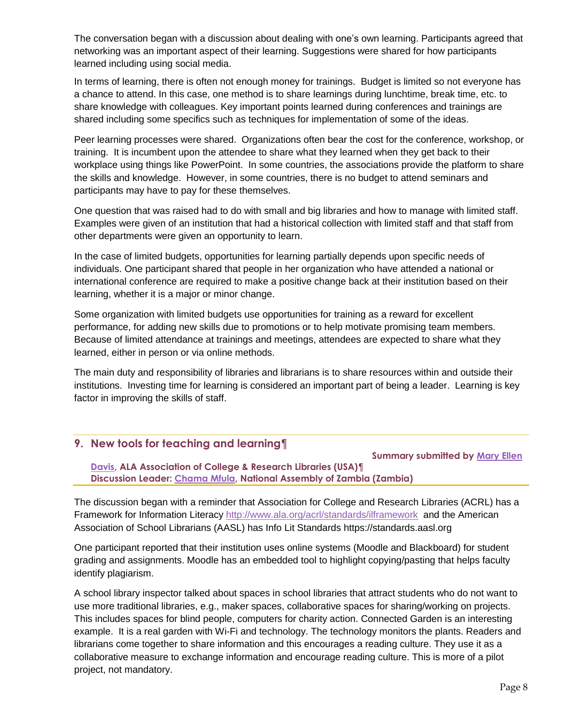The conversation began with a discussion about dealing with one's own learning. Participants agreed that networking was an important aspect of their learning. Suggestions were shared for how participants learned including using social media.

In terms of learning, there is often not enough money for trainings. Budget is limited so not everyone has a chance to attend. In this case, one method is to share learnings during lunchtime, break time, etc. to share knowledge with colleagues. Key important points learned during conferences and trainings are shared including some specifics such as techniques for implementation of some of the ideas.

Peer learning processes were shared. Organizations often bear the cost for the conference, workshop, or training. It is incumbent upon the attendee to share what they learned when they get back to their workplace using things like PowerPoint. In some countries, the associations provide the platform to share the skills and knowledge. However, in some countries, there is no budget to attend seminars and participants may have to pay for these themselves.

One question that was raised had to do with small and big libraries and how to manage with limited staff. Examples were given of an institution that had a historical collection with limited staff and that staff from other departments were given an opportunity to learn.

In the case of limited budgets, opportunities for learning partially depends upon specific needs of individuals. One participant shared that people in her organization who have attended a national or international conference are required to make a positive change back at their institution based on their learning, whether it is a major or minor change.

Some organization with limited budgets use opportunities for training as a reward for excellent performance, for adding new skills due to promotions or to help motivate promising team members. Because of limited attendance at trainings and meetings, attendees are expected to share what they learned, either in person or via online methods.

The main duty and responsibility of libraries and librarians is to share resources within and outside their institutions. Investing time for learning is considered an important part of being a leader. Learning is key factor in improving the skills of staff.

# **9. New tools for teaching and learning¶**

 **Summary submitted by [Mary Ellen](mailto:mdavis@ala.org)** 

**[Davis,](mailto:mdavis@ala.org) ALA Association of College & Research Libraries (USA)¶ Discussion Leader: [Chama Mfula,](mailto:cmmfula@parliament.gov.zm) National Assembly of Zambia (Zambia)**

The discussion began with a reminder that Association for College and Research Libraries (ACRL) has a Framework for Information Literacy <http://www.ala.org/acrl/standards/ilframework>and the American Association of School Librarians (AASL) has Info Lit Standards https://standards.aasl.org

One participant reported that their institution uses online systems (Moodle and Blackboard) for student grading and assignments. Moodle has an embedded tool to highlight copying/pasting that helps faculty identify plagiarism.

A school library inspector talked about spaces in school libraries that attract students who do not want to use more traditional libraries, e.g., maker spaces, collaborative spaces for sharing/working on projects. This includes spaces for blind people, computers for charity action. Connected Garden is an interesting example. It is a real garden with Wi-Fi and technology. The technology monitors the plants. Readers and librarians come together to share information and this encourages a reading culture. They use it as a collaborative measure to exchange information and encourage reading culture. This is more of a pilot project, not mandatory.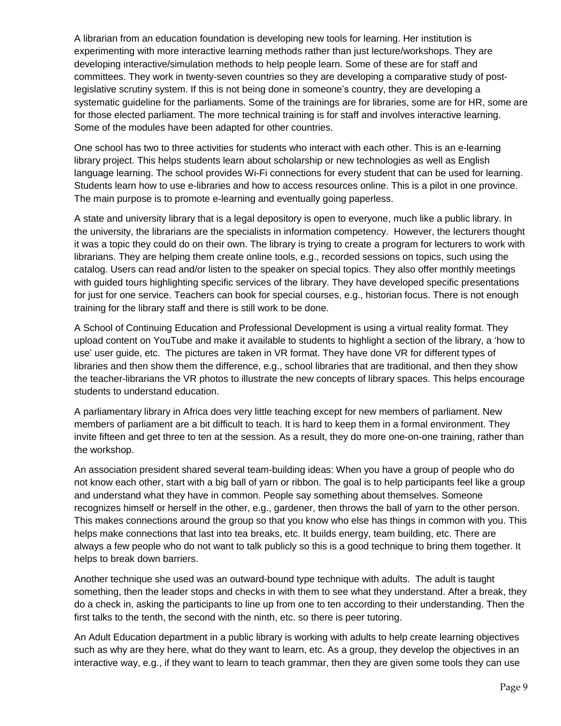A librarian from an education foundation is developing new tools for learning. Her institution is experimenting with more interactive learning methods rather than just lecture/workshops. They are developing interactive/simulation methods to help people learn. Some of these are for staff and committees. They work in twenty-seven countries so they are developing a comparative study of postlegislative scrutiny system. If this is not being done in someone's country, they are developing a systematic guideline for the parliaments. Some of the trainings are for libraries, some are for HR, some are for those elected parliament. The more technical training is for staff and involves interactive learning. Some of the modules have been adapted for other countries.

One school has two to three activities for students who interact with each other. This is an e-learning library project. This helps students learn about scholarship or new technologies as well as English language learning. The school provides Wi-Fi connections for every student that can be used for learning. Students learn how to use e-libraries and how to access resources online. This is a pilot in one province. The main purpose is to promote e-learning and eventually going paperless.

A state and university library that is a legal depository is open to everyone, much like a public library. In the university, the librarians are the specialists in information competency. However, the lecturers thought it was a topic they could do on their own. The library is trying to create a program for lecturers to work with librarians. They are helping them create online tools, e.g., recorded sessions on topics, such using the catalog. Users can read and/or listen to the speaker on special topics. They also offer monthly meetings with guided tours highlighting specific services of the library. They have developed specific presentations for just for one service. Teachers can book for special courses, e.g., historian focus. There is not enough training for the library staff and there is still work to be done.

A School of Continuing Education and Professional Development is using a virtual reality format. They upload content on YouTube and make it available to students to highlight a section of the library, a 'how to use' user guide, etc. The pictures are taken in VR format. They have done VR for different types of libraries and then show them the difference, e.g., school libraries that are traditional, and then they show the teacher-librarians the VR photos to illustrate the new concepts of library spaces. This helps encourage students to understand education.

A parliamentary library in Africa does very little teaching except for new members of parliament. New members of parliament are a bit difficult to teach. It is hard to keep them in a formal environment. They invite fifteen and get three to ten at the session. As a result, they do more one-on-one training, rather than the workshop.

An association president shared several team-building ideas: When you have a group of people who do not know each other, start with a big ball of yarn or ribbon. The goal is to help participants feel like a group and understand what they have in common. People say something about themselves. Someone recognizes himself or herself in the other, e.g., gardener, then throws the ball of yarn to the other person. This makes connections around the group so that you know who else has things in common with you. This helps make connections that last into tea breaks, etc. It builds energy, team building, etc. There are always a few people who do not want to talk publicly so this is a good technique to bring them together. It helps to break down barriers.

Another technique she used was an outward-bound type technique with adults. The adult is taught something, then the leader stops and checks in with them to see what they understand. After a break, they do a check in, asking the participants to line up from one to ten according to their understanding. Then the first talks to the tenth, the second with the ninth, etc. so there is peer tutoring.

An Adult Education department in a public library is working with adults to help create learning objectives such as why are they here, what do they want to learn, etc. As a group, they develop the objectives in an interactive way, e.g., if they want to learn to teach grammar, then they are given some tools they can use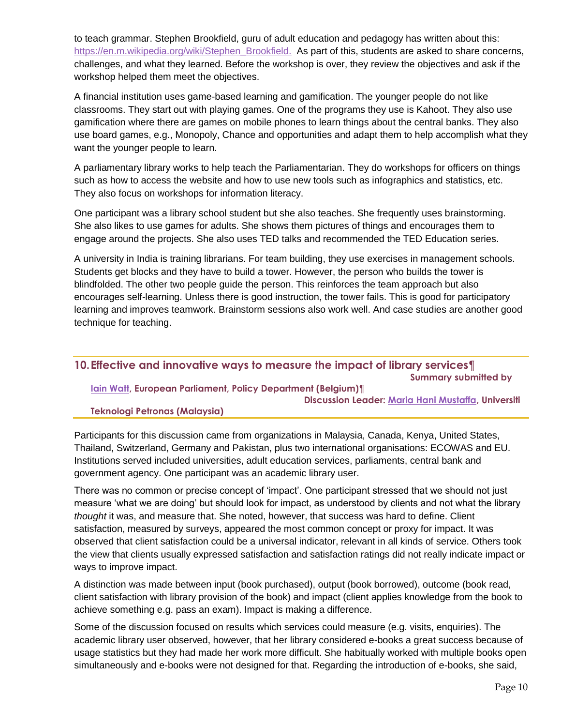to teach grammar. Stephen Brookfield, guru of adult education and pedagogy has written about this: [https://en.m.wikipedia.org/wiki/Stephen\\_Brookfield.](https://en.m.wikipedia.org/wiki/Stephen_Brookfield) As part of this, students are asked to share concerns, challenges, and what they learned. Before the workshop is over, they review the objectives and ask if the workshop helped them meet the objectives.

A financial institution uses game-based learning and gamification. The younger people do not like classrooms. They start out with playing games. One of the programs they use is Kahoot. They also use gamification where there are games on mobile phones to learn things about the central banks. They also use board games, e.g., Monopoly, Chance and opportunities and adapt them to help accomplish what they want the younger people to learn.

A parliamentary library works to help teach the Parliamentarian. They do workshops for officers on things such as how to access the website and how to use new tools such as infographics and statistics, etc. They also focus on workshops for information literacy.

One participant was a library school student but she also teaches. She frequently uses brainstorming. She also likes to use games for adults. She shows them pictures of things and encourages them to engage around the projects. She also uses TED talks and recommended the TED Education series.

A university in India is training librarians. For team building, they use exercises in management schools. Students get blocks and they have to build a tower. However, the person who builds the tower is blindfolded. The other two people guide the person. This reinforces the team approach but also encourages self-learning. Unless there is good instruction, the tower fails. This is good for participatory learning and improves teamwork. Brainstorm sessions also work well. And case studies are another good technique for teaching.

# **10.Effective and innovative ways to measure the impact of library services¶**

 **Summary submitted by**

#### **[Iain Watt,](mailto:watt.iain@gmail.com) European Parliament, Policy Department (Belgium)¶ Discussion Leader: [Maria Hani Mustaffa,](mailto:mariahani.mustaffa@utp.edu.my) Universiti**

# **Teknologi Petronas (Malaysia)**

Participants for this discussion came from organizations in Malaysia, Canada, Kenya, United States, Thailand, Switzerland, Germany and Pakistan, plus two international organisations: ECOWAS and EU. Institutions served included universities, adult education services, parliaments, central bank and government agency. One participant was an academic library user.

There was no common or precise concept of 'impact'. One participant stressed that we should not just measure 'what we are doing' but should look for impact, as understood by clients and not what the library *thought* it was, and measure that. She noted, however, that success was hard to define. Client satisfaction, measured by surveys, appeared the most common concept or proxy for impact. It was observed that client satisfaction could be a universal indicator, relevant in all kinds of service. Others took the view that clients usually expressed satisfaction and satisfaction ratings did not really indicate impact or ways to improve impact.

A distinction was made between input (book purchased), output (book borrowed), outcome (book read, client satisfaction with library provision of the book) and impact (client applies knowledge from the book to achieve something e.g. pass an exam). Impact is making a difference.

Some of the discussion focused on results which services could measure (e.g. visits, enquiries). The academic library user observed, however, that her library considered e-books a great success because of usage statistics but they had made her work more difficult. She habitually worked with multiple books open simultaneously and e-books were not designed for that. Regarding the introduction of e-books, she said,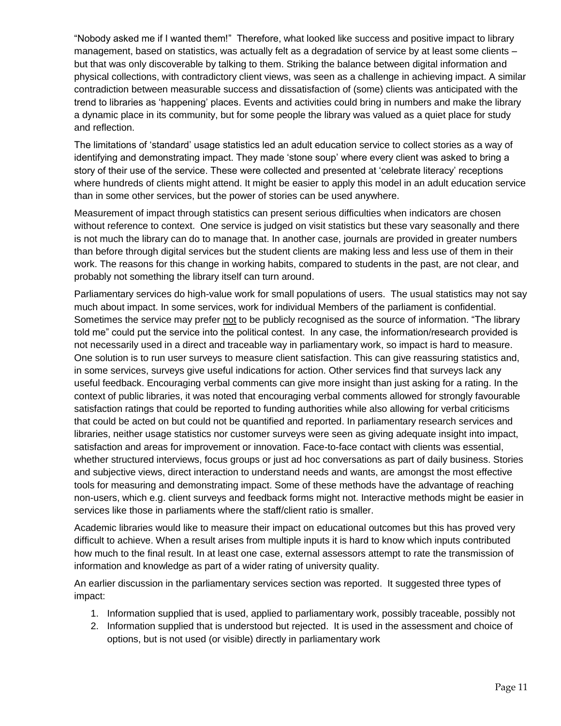"Nobody asked me if I wanted them!" Therefore, what looked like success and positive impact to library management, based on statistics, was actually felt as a degradation of service by at least some clients – but that was only discoverable by talking to them. Striking the balance between digital information and physical collections, with contradictory client views, was seen as a challenge in achieving impact. A similar contradiction between measurable success and dissatisfaction of (some) clients was anticipated with the trend to libraries as 'happening' places. Events and activities could bring in numbers and make the library a dynamic place in its community, but for some people the library was valued as a quiet place for study and reflection.

The limitations of 'standard' usage statistics led an adult education service to collect stories as a way of identifying and demonstrating impact. They made 'stone soup' where every client was asked to bring a story of their use of the service. These were collected and presented at 'celebrate literacy' receptions where hundreds of clients might attend. It might be easier to apply this model in an adult education service than in some other services, but the power of stories can be used anywhere.

Measurement of impact through statistics can present serious difficulties when indicators are chosen without reference to context. One service is judged on visit statistics but these vary seasonally and there is not much the library can do to manage that. In another case, journals are provided in greater numbers than before through digital services but the student clients are making less and less use of them in their work. The reasons for this change in working habits, compared to students in the past, are not clear, and probably not something the library itself can turn around.

Parliamentary services do high-value work for small populations of users. The usual statistics may not say much about impact. In some services, work for individual Members of the parliament is confidential. Sometimes the service may prefer not to be publicly recognised as the source of information. "The library told me" could put the service into the political contest. In any case, the information/research provided is not necessarily used in a direct and traceable way in parliamentary work, so impact is hard to measure. One solution is to run user surveys to measure client satisfaction. This can give reassuring statistics and, in some services, surveys give useful indications for action. Other services find that surveys lack any useful feedback. Encouraging verbal comments can give more insight than just asking for a rating. In the context of public libraries, it was noted that encouraging verbal comments allowed for strongly favourable satisfaction ratings that could be reported to funding authorities while also allowing for verbal criticisms that could be acted on but could not be quantified and reported. In parliamentary research services and libraries, neither usage statistics nor customer surveys were seen as giving adequate insight into impact, satisfaction and areas for improvement or innovation. Face-to-face contact with clients was essential, whether structured interviews, focus groups or just ad hoc conversations as part of daily business. Stories and subjective views, direct interaction to understand needs and wants, are amongst the most effective tools for measuring and demonstrating impact. Some of these methods have the advantage of reaching non-users, which e.g. client surveys and feedback forms might not. Interactive methods might be easier in services like those in parliaments where the staff/client ratio is smaller.

Academic libraries would like to measure their impact on educational outcomes but this has proved very difficult to achieve. When a result arises from multiple inputs it is hard to know which inputs contributed how much to the final result. In at least one case, external assessors attempt to rate the transmission of information and knowledge as part of a wider rating of university quality.

An earlier discussion in the parliamentary services section was reported. It suggested three types of impact:

- 1. Information supplied that is used, applied to parliamentary work, possibly traceable, possibly not
- 2. Information supplied that is understood but rejected. It is used in the assessment and choice of options, but is not used (or visible) directly in parliamentary work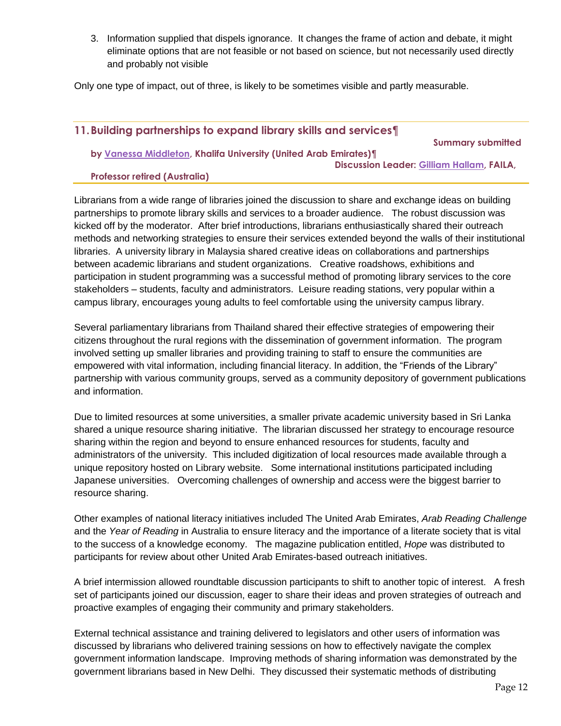3. Information supplied that dispels ignorance. It changes the frame of action and debate, it might eliminate options that are not feasible or not based on science, but not necessarily used directly and probably not visible

Only one type of impact, out of three, is likely to be sometimes visible and partly measurable.

# **11.Building partnerships to expand library skills and services¶**

**by [Vanessa Middleton,](mailto:vanessauae@gmail.com) Khalifa University (United Arab Emirates)¶**

 **Summary submitted** 

 **Discussion Leader: [Gilliam Hallam,](mailto:gillian.hallam1@bigpond.com) FAILA,** 

#### **Professor retired (Australia)**

Librarians from a wide range of libraries joined the discussion to share and exchange ideas on building partnerships to promote library skills and services to a broader audience. The robust discussion was kicked off by the moderator. After brief introductions, librarians enthusiastically shared their outreach methods and networking strategies to ensure their services extended beyond the walls of their institutional libraries. A university library in Malaysia shared creative ideas on collaborations and partnerships between academic librarians and student organizations. Creative roadshows, exhibitions and participation in student programming was a successful method of promoting library services to the core stakeholders – students, faculty and administrators. Leisure reading stations, very popular within a campus library, encourages young adults to feel comfortable using the university campus library.

Several parliamentary librarians from Thailand shared their effective strategies of empowering their citizens throughout the rural regions with the dissemination of government information. The program involved setting up smaller libraries and providing training to staff to ensure the communities are empowered with vital information, including financial literacy. In addition, the "Friends of the Library" partnership with various community groups, served as a community depository of government publications and information.

Due to limited resources at some universities, a smaller private academic university based in Sri Lanka shared a unique resource sharing initiative. The librarian discussed her strategy to encourage resource sharing within the region and beyond to ensure enhanced resources for students, faculty and administrators of the university. This included digitization of local resources made available through a unique repository hosted on Library website. Some international institutions participated including Japanese universities. Overcoming challenges of ownership and access were the biggest barrier to resource sharing.

Other examples of national literacy initiatives included The United Arab Emirates, *Arab Reading Challenge* and the *Year of Reading* in Australia to ensure literacy and the importance of a literate society that is vital to the success of a knowledge economy. The magazine publication entitled, *Hope* was distributed to participants for review about other United Arab Emirates-based outreach initiatives.

A brief intermission allowed roundtable discussion participants to shift to another topic of interest. A fresh set of participants joined our discussion, eager to share their ideas and proven strategies of outreach and proactive examples of engaging their community and primary stakeholders.

External technical assistance and training delivered to legislators and other users of information was discussed by librarians who delivered training sessions on how to effectively navigate the complex government information landscape. Improving methods of sharing information was demonstrated by the government librarians based in New Delhi. They discussed their systematic methods of distributing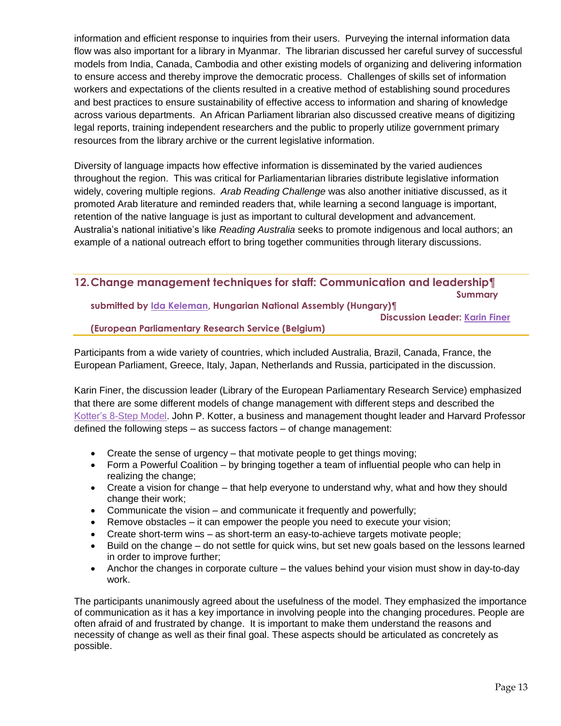information and efficient response to inquiries from their users. Purveying the internal information data flow was also important for a library in Myanmar. The librarian discussed her careful survey of successful models from India, Canada, Cambodia and other existing models of organizing and delivering information to ensure access and thereby improve the democratic process. Challenges of skills set of information workers and expectations of the clients resulted in a creative method of establishing sound procedures and best practices to ensure sustainability of effective access to information and sharing of knowledge across various departments. An African Parliament librarian also discussed creative means of digitizing legal reports, training independent researchers and the public to properly utilize government primary resources from the library archive or the current legislative information.

Diversity of language impacts how effective information is disseminated by the varied audiences throughout the region. This was critical for Parliamentarian libraries distribute legislative information widely, covering multiple regions. *Arab Reading Challenge* was also another initiative discussed, as it promoted Arab literature and reminded readers that, while learning a second language is important, retention of the native language is just as important to cultural development and advancement. Australia's national initiative's like *Reading Australia* seeks to promote indigenous and local authors; an example of a national outreach effort to bring together communities through literary discussions.

# **12.Change management techniques for staff: Communication and leadership¶ Summary**

**submitted by [Ida Keleman,](mailto:ida.kelemen@parlament.hu) Hungarian National Assembly (Hungary)¶**

 **Discussion Leader: [Karin Finer](mailto:karin.finer@europarl.europa.eu)**

# **(European Parliamentary Research Service (Belgium)**

Participants from a wide variety of countries, which included Australia, Brazil, Canada, France, the European Parliament, Greece, Italy, Japan, Netherlands and Russia, participated in the discussion.

Karin Finer, the discussion leader (Library of the European Parliamentary Research Service) emphasized that there are some different models of change management with different steps and described the [Kotter's 8-Step Model.](https://www.kotterinc.com/8-steps-process-for-leading-change/) John P. Kotter, a business and management thought leader and Harvard Professor defined the following steps – as success factors – of change management:

- Create the sense of urgency that motivate people to get things moving;
- Form a Powerful Coalition by bringing together a team of influential people who can help in realizing the change;
- Create a vision for change that help everyone to understand why, what and how they should change their work;
- Communicate the vision and communicate it frequently and powerfully;
- Remove obstacles it can empower the people you need to execute your vision;
- Create short-term wins as short-term an easy-to-achieve targets motivate people;
- Build on the change do not settle for quick wins, but set new goals based on the lessons learned in order to improve further;
- Anchor the changes in corporate culture the values behind your vision must show in day-to-day work.

The participants unanimously agreed about the usefulness of the model. They emphasized the importance of communication as it has a key importance in involving people into the changing procedures. People are often afraid of and frustrated by change. It is important to make them understand the reasons and necessity of change as well as their final goal. These aspects should be articulated as concretely as possible.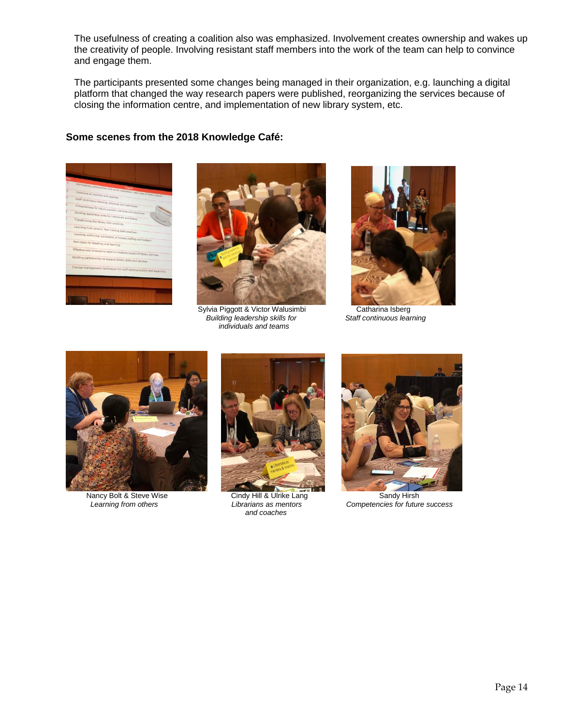The usefulness of creating a coalition also was emphasized. Involvement creates ownership and wakes up the creativity of people. Involving resistant staff members into the work of the team can help to convince and engage them.

The participants presented some changes being managed in their organization, e.g. launching a digital platform that changed the way research papers were published, reorganizing the services because of closing the information centre, and implementation of new library system, etc.

# **Some scenes from the 2018 Knowledge Café:**





Sylvia Piggott & Victor Walusimbi **Catharina Isberg**<br>Building leadership skills for Staff continuous learning **Building leadership skills for**  *individuals and teams* 







Nancy Bolt & Steve Wise Cindy Hill & Ulrike Lang Sandy Hirsh Sandy Hirsh<br>
Librarians as mentors Competencies for future  *and coaches*



*Learning from others Librarians as mentors Competencies for future success*